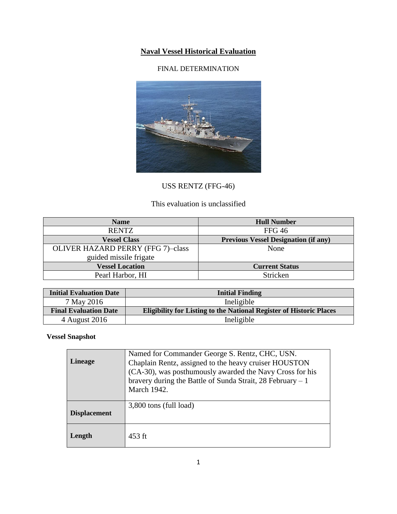# **Naval Vessel Historical Evaluation**

## FINAL DETERMINATION



# USS RENTZ (FFG-46)

## This evaluation is unclassified

| <b>Name</b>                              | <b>Hull Number</b>                          |
|------------------------------------------|---------------------------------------------|
| <b>RENTZ</b>                             | <b>FFG 46</b>                               |
| <b>Vessel Class</b>                      | <b>Previous Vessel Designation (if any)</b> |
| <b>OLIVER HAZARD PERRY (FFG 7)-class</b> | None                                        |
| guided missile frigate                   |                                             |
| <b>Vessel Location</b>                   | <b>Current Status</b>                       |
| Pearl Harbor, HI                         | Stricken                                    |

| <b>Initial Evaluation Date</b> | <b>Initial Finding</b>                                                     |
|--------------------------------|----------------------------------------------------------------------------|
| 7 May 2016                     | Ineligible                                                                 |
| <b>Final Evaluation Date</b>   | <b>Eligibility for Listing to the National Register of Historic Places</b> |
| 4 August 2016                  | Ineligible                                                                 |

# **Vessel Snapshot**

| <b>Lineage</b>      | Named for Commander George S. Rentz, CHC, USN.<br>Chaplain Rentz, assigned to the heavy cruiser HOUSTON<br>(CA-30), was posthumously awarded the Navy Cross for his<br>bravery during the Battle of Sunda Strait, 28 February $-1$<br>March 1942. |
|---------------------|---------------------------------------------------------------------------------------------------------------------------------------------------------------------------------------------------------------------------------------------------|
| <b>Displacement</b> | 3,800 tons (full load)                                                                                                                                                                                                                            |
| Length              | 453 ft                                                                                                                                                                                                                                            |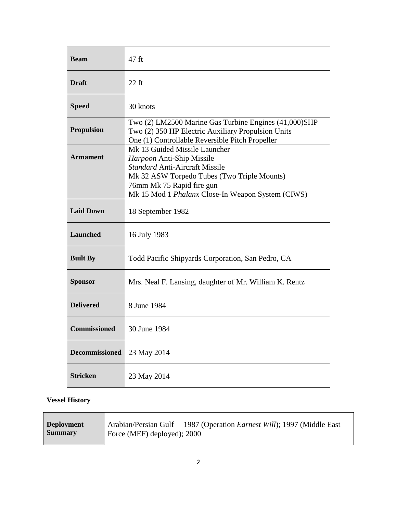| <b>Beam</b>           | 47 ft                                                                                                                                                                                                                                |
|-----------------------|--------------------------------------------------------------------------------------------------------------------------------------------------------------------------------------------------------------------------------------|
| <b>Draft</b>          | $22$ ft                                                                                                                                                                                                                              |
| <b>Speed</b>          | 30 knots                                                                                                                                                                                                                             |
| <b>Propulsion</b>     | Two (2) LM2500 Marine Gas Turbine Engines (41,000)SHP<br>Two (2) 350 HP Electric Auxiliary Propulsion Units<br>One (1) Controllable Reversible Pitch Propeller                                                                       |
| <b>Armament</b>       | Mk 13 Guided Missile Launcher<br>Harpoon Anti-Ship Missile<br><b>Standard Anti-Aircraft Missile</b><br>Mk 32 ASW Torpedo Tubes (Two Triple Mounts)<br>76mm Mk 75 Rapid fire gun<br>Mk 15 Mod 1 Phalanx Close-In Weapon System (CIWS) |
| <b>Laid Down</b>      | 18 September 1982                                                                                                                                                                                                                    |
| Launched              | 16 July 1983                                                                                                                                                                                                                         |
| <b>Built By</b>       | Todd Pacific Shipyards Corporation, San Pedro, CA                                                                                                                                                                                    |
| <b>Sponsor</b>        | Mrs. Neal F. Lansing, daughter of Mr. William K. Rentz                                                                                                                                                                               |
| <b>Delivered</b>      | 8 June 1984                                                                                                                                                                                                                          |
| <b>Commissioned</b>   | 30 June 1984                                                                                                                                                                                                                         |
| <b>Decommissioned</b> | 23 May 2014                                                                                                                                                                                                                          |
| <b>Stricken</b>       | 23 May 2014                                                                                                                                                                                                                          |

### **Vessel History**

| <b>Deployment</b><br><b>Summary</b> | Arabian/Persian Gulf - 1987 (Operation <i>Earnest Will</i> ); 1997 (Middle East |
|-------------------------------------|---------------------------------------------------------------------------------|
|                                     | Force (MEF) deployed); 2000                                                     |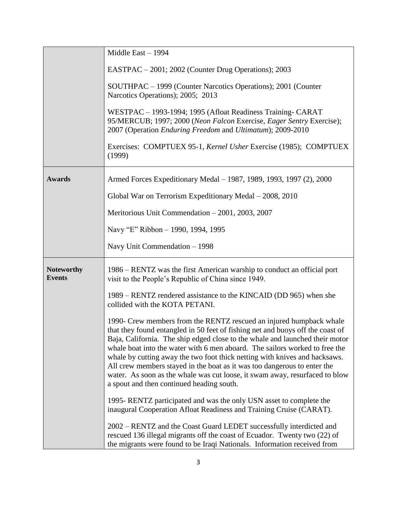|                                    | Middle East $-1994$                                                                                                                                                                                                                                                                                                                                                                                                                                                                                                                                                                                        |
|------------------------------------|------------------------------------------------------------------------------------------------------------------------------------------------------------------------------------------------------------------------------------------------------------------------------------------------------------------------------------------------------------------------------------------------------------------------------------------------------------------------------------------------------------------------------------------------------------------------------------------------------------|
|                                    | EASTPAC – 2001; 2002 (Counter Drug Operations); 2003                                                                                                                                                                                                                                                                                                                                                                                                                                                                                                                                                       |
|                                    | SOUTHPAC – 1999 (Counter Narcotics Operations); 2001 (Counter<br>Narcotics Operations); 2005; 2013                                                                                                                                                                                                                                                                                                                                                                                                                                                                                                         |
|                                    | WESTPAC - 1993-1994; 1995 (Afloat Readiness Training- CARAT<br>95/MERCUB; 1997; 2000 (Neon Falcon Exercise, Eager Sentry Exercise);<br>2007 (Operation Enduring Freedom and Ultimatum); 2009-2010                                                                                                                                                                                                                                                                                                                                                                                                          |
|                                    | Exercises: COMPTUEX 95-1, Kernel Usher Exercise (1985); COMPTUEX<br>(1999)                                                                                                                                                                                                                                                                                                                                                                                                                                                                                                                                 |
| <b>Awards</b>                      | Armed Forces Expeditionary Medal - 1987, 1989, 1993, 1997 (2), 2000                                                                                                                                                                                                                                                                                                                                                                                                                                                                                                                                        |
|                                    | Global War on Terrorism Expeditionary Medal - 2008, 2010                                                                                                                                                                                                                                                                                                                                                                                                                                                                                                                                                   |
|                                    | Meritorious Unit Commendation - 2001, 2003, 2007                                                                                                                                                                                                                                                                                                                                                                                                                                                                                                                                                           |
|                                    | Navy "E" Ribbon - 1990, 1994, 1995                                                                                                                                                                                                                                                                                                                                                                                                                                                                                                                                                                         |
|                                    | Navy Unit Commendation - 1998                                                                                                                                                                                                                                                                                                                                                                                                                                                                                                                                                                              |
| <b>Noteworthy</b><br><b>Events</b> | 1986 – RENTZ was the first American warship to conduct an official port<br>visit to the People's Republic of China since 1949.                                                                                                                                                                                                                                                                                                                                                                                                                                                                             |
|                                    | 1989 – RENTZ rendered assistance to the KINCAID (DD 965) when she<br>collided with the KOTA PETANI.                                                                                                                                                                                                                                                                                                                                                                                                                                                                                                        |
|                                    | 1990- Crew members from the RENTZ rescued an injured humpback whale<br>that they found entangled in 50 feet of fishing net and buoys off the coast of<br>Baja, California. The ship edged close to the whale and launched their motor<br>whale boat into the water with 6 men aboard. The sailors worked to free the<br>whale by cutting away the two foot thick netting with knives and hacksaws.<br>All crew members stayed in the boat as it was too dangerous to enter the<br>water. As soon as the whale was cut loose, it swam away, resurfaced to blow<br>a spout and then continued heading south. |
|                                    | 1995-RENTZ participated and was the only USN asset to complete the<br>inaugural Cooperation Afloat Readiness and Training Cruise (CARAT).                                                                                                                                                                                                                                                                                                                                                                                                                                                                  |
|                                    | 2002 – RENTZ and the Coast Guard LEDET successfully interdicted and<br>rescued 136 illegal migrants off the coast of Ecuador. Twenty two (22) of<br>the migrants were found to be Iraqi Nationals. Information received from                                                                                                                                                                                                                                                                                                                                                                               |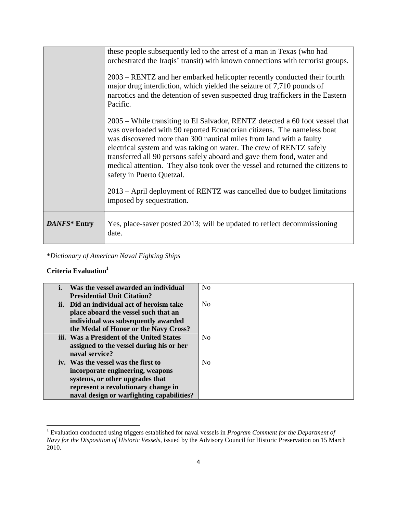| DANFS* Entry | safety in Puerto Quetzal.<br>2013 – April deployment of RENTZ was cancelled due to budget limitations<br>imposed by sequestration.<br>Yes, place-saver posted 2013; will be updated to reflect decommissioning                                                                                                                                                                                                                                                   |
|--------------|------------------------------------------------------------------------------------------------------------------------------------------------------------------------------------------------------------------------------------------------------------------------------------------------------------------------------------------------------------------------------------------------------------------------------------------------------------------|
|              | 2005 – While transiting to El Salvador, RENTZ detected a 60 foot vessel that<br>was overloaded with 90 reported Ecuadorian citizens. The nameless boat<br>was discovered more than 300 nautical miles from land with a faulty<br>electrical system and was taking on water. The crew of RENTZ safely<br>transferred all 90 persons safely aboard and gave them food, water and<br>medical attention. They also took over the vessel and returned the citizens to |
|              | 2003 – RENTZ and her embarked helicopter recently conducted their fourth<br>major drug interdiction, which yielded the seizure of 7,710 pounds of<br>narcotics and the detention of seven suspected drug traffickers in the Eastern<br>Pacific.                                                                                                                                                                                                                  |
|              | these people subsequently led to the arrest of a man in Texas (who had<br>orchestrated the Iraqis' transit) with known connections with terrorist groups.                                                                                                                                                                                                                                                                                                        |

\**Dictionary of American Naval Fighting Ships*

### **Criteria Evaluation<sup>1</sup>**

| Was the vessel awarded an individual      | No             |
|-------------------------------------------|----------------|
| <b>Presidential Unit Citation?</b>        |                |
| ii. Did an individual act of heroism take | N <sub>0</sub> |
| place aboard the vessel such that an      |                |
| individual was subsequently awarded       |                |
| the Medal of Honor or the Navy Cross?     |                |
| iii. Was a President of the United States | N <sub>0</sub> |
| assigned to the vessel during his or her  |                |
| naval service?                            |                |
| iv. Was the vessel was the first to       | No             |
| incorporate engineering, weapons          |                |
| systems, or other upgrades that           |                |
| represent a revolutionary change in       |                |
| naval design or warfighting capabilities? |                |

 $\overline{a}$ <sup>1</sup> Evaluation conducted using triggers established for naval vessels in *Program Comment for the Department of Navy for the Disposition of Historic Vessels*, issued by the Advisory Council for Historic Preservation on 15 March 2010.